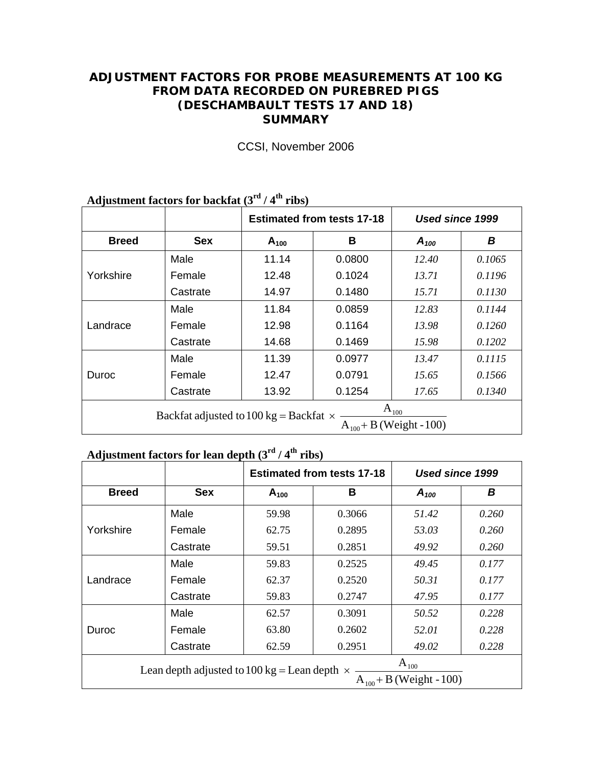### **ADJUSTMENT FACTORS FOR PROBE MEASUREMENTS AT 100 KG FROM DATA RECORDED ON PUREBRED PIGS (DESCHAMBAULT TESTS 17 AND 18) SUMMARY**

|                                                                                            |            |           | <b>Estimated from tests 17-18</b> | Used since 1999 |        |  |  |
|--------------------------------------------------------------------------------------------|------------|-----------|-----------------------------------|-----------------|--------|--|--|
| <b>Breed</b>                                                                               | <b>Sex</b> | $A_{100}$ | В                                 | $A_{100}$       | В      |  |  |
|                                                                                            | Male       | 11.14     | 0.0800                            | 12.40           | 0.1065 |  |  |
| Yorkshire                                                                                  | Female     | 12.48     | 0.1024                            | 13.71           | 0.1196 |  |  |
|                                                                                            | Castrate   | 14.97     | 0.1480                            | 15.71           | 0.1130 |  |  |
|                                                                                            | Male       | 11.84     | 0.0859                            | 12.83           | 0.1144 |  |  |
| Landrace                                                                                   | Female     | 12.98     | 0.1164                            | 13.98           | 0.1260 |  |  |
|                                                                                            | Castrate   | 14.68     | 0.1469                            | 15.98           | 0.1202 |  |  |
|                                                                                            | Male       | 11.39     | 0.0977                            | 13.47           | 0.1115 |  |  |
| Duroc                                                                                      | Female     | 12.47     | 0.0791                            | 15.65           | 0.1566 |  |  |
|                                                                                            | Castrate   | 13.92     | 0.1254                            | 17.65           | 0.1340 |  |  |
| $A_{100}$<br>Backfat adjusted to 100 kg = Backfat $\times$<br>$A_{100}$ + B (Weight - 100) |            |           |                                   |                 |        |  |  |

CCSI, November 2006

# Adjustment factors for backfat (3<sup>rd</sup> / 4<sup>th</sup> ribs)

## **Adjustment factors for lean depth (3rd / 4th ribs)**

|              |                                                                                                  |           | <b>Estimated from tests 17-18</b> | Used since 1999 |       |  |  |  |  |
|--------------|--------------------------------------------------------------------------------------------------|-----------|-----------------------------------|-----------------|-------|--|--|--|--|
| <b>Breed</b> | <b>Sex</b>                                                                                       | $A_{100}$ | B                                 | $A_{100}$       | B     |  |  |  |  |
|              | Male                                                                                             | 59.98     | 0.3066                            | 51.42           | 0.260 |  |  |  |  |
| Yorkshire    | Female                                                                                           | 62.75     | 0.2895                            | 53.03           | 0.260 |  |  |  |  |
|              | Castrate                                                                                         | 59.51     | 0.2851                            | 49.92           | 0.260 |  |  |  |  |
|              | Male                                                                                             | 59.83     | 0.2525                            | 49.45           | 0.177 |  |  |  |  |
| Landrace     | Female                                                                                           | 62.37     | 0.2520                            | 50.31           | 0.177 |  |  |  |  |
|              | Castrate                                                                                         | 59.83     | 0.2747                            | 47.95           | 0.177 |  |  |  |  |
|              | Male                                                                                             | 62.57     | 0.3091                            | 50.52           | 0.228 |  |  |  |  |
| <b>Duroc</b> | Female                                                                                           | 63.80     | 0.2602                            | 52.01           | 0.228 |  |  |  |  |
|              | Castrate                                                                                         | 62.59     | 0.2951                            | 49.02           | 0.228 |  |  |  |  |
|              | $A_{100}$<br>Lean depth adjusted to 100 kg = Lean depth $\times$<br>$A_{100}$ + B (Weight - 100) |           |                                   |                 |       |  |  |  |  |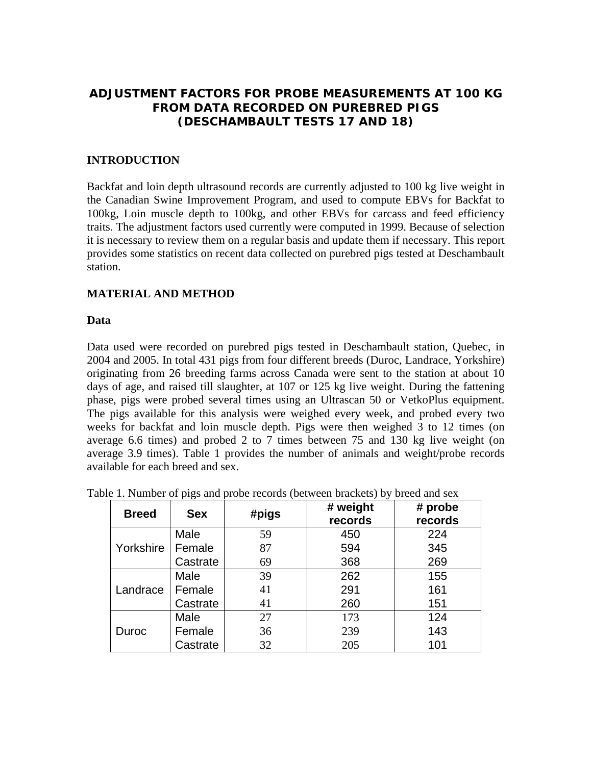### **ADJUSTMENT FACTORS FOR PROBE MEASUREMENTS AT 100 KG FROM DATA RECORDED ON PUREBRED PIGS (DESCHAMBAULT TESTS 17 AND 18)**

### **INTRODUCTION**

Backfat and loin depth ultrasound records are currently adjusted to 100 kg live weight in the Canadian Swine Improvement Program, and used to compute EBVs for Backfat to 100kg, Loin muscle depth to 100kg, and other EBVs for carcass and feed efficiency traits. The adjustment factors used currently were computed in 1999. Because of selection it is necessary to review them on a regular basis and update them if necessary. This report provides some statistics on recent data collected on purebred pigs tested at Deschambault station.

#### **MATERIAL AND METHOD**

#### **Data**

Data used were recorded on purebred pigs tested in Deschambault station, Quebec, in 2004 and 2005. In total 431 pigs from four different breeds (Duroc, Landrace, Yorkshire) originating from 26 breeding farms across Canada were sent to the station at about 10 days of age, and raised till slaughter, at 107 or 125 kg live weight. During the fattening phase, pigs were probed several times using an Ultrascan 50 or VetkoPlus equipment. The pigs available for this analysis were weighed every week, and probed every two weeks for backfat and loin muscle depth. Pigs were then weighed 3 to 12 times (on average 6.6 times) and probed 2 to 7 times between 75 and 130 kg live weight (on average 3.9 times). Table 1 provides the number of animals and weight/probe records available for each breed and sex.

| <b>Breed</b> | <b>Sex</b> | #pigs | # weight<br>records | # probe<br>records |
|--------------|------------|-------|---------------------|--------------------|
|              | Male       | 59    | 450                 | 224                |
| Yorkshire    | Female     | 87    | 594                 | 345                |
|              | Castrate   | 69    | 368                 | 269                |
|              | Male       | 39    | 262                 | 155                |
| Landrace     | Female     | 41    | 291                 | 161                |
|              | Castrate   | 41    | 260                 | 151                |
|              | Male       | 27    | 173                 | 124                |
| Duroc        | Female     | 36    | 239                 | 143                |
|              | Castrate   | 32    | 205                 | 101                |

|  |  |  | Table 1. Number of pigs and probe records (between brackets) by breed and sex |
|--|--|--|-------------------------------------------------------------------------------|
|  |  |  |                                                                               |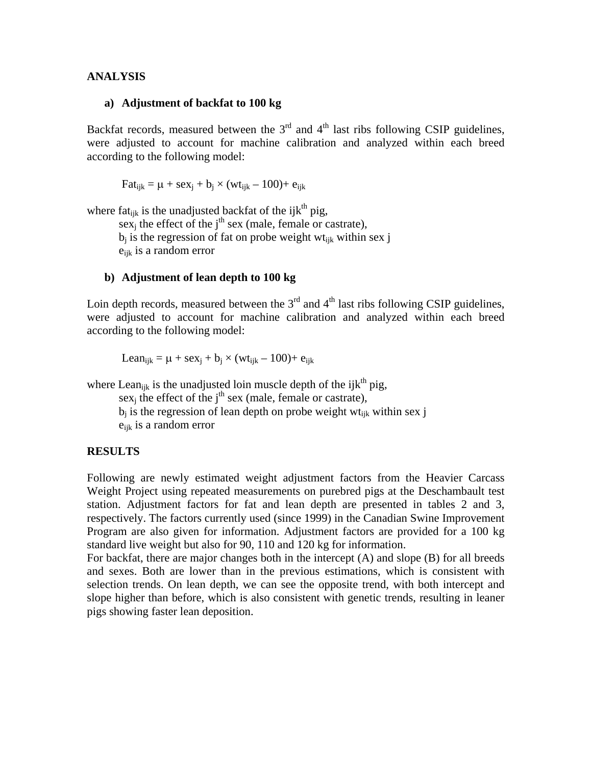#### **ANALYSIS**

#### **a) Adjustment of backfat to 100 kg**

Backfat records, measured between the  $3<sup>rd</sup>$  and  $4<sup>th</sup>$  last ribs following CSIP guidelines, were adjusted to account for machine calibration and analyzed within each breed according to the following model:

 $Fat_{ijk} = \mu + sex_i + b_i \times (wt_{ijk} - 100) + e_{ijk}$ 

where fat<sub>ijk</sub> is the unadjusted backfat of the ijk<sup>th</sup> pig,

sex<sub>i</sub> the effect of the j<sup>th</sup> sex (male, female or castrate),  $b_j$  is the regression of fat on probe weight wt<sub>ik</sub> within sex j eijk is a random error

#### **b) Adjustment of lean depth to 100 kg**

Loin depth records, measured between the  $3<sup>rd</sup>$  and  $4<sup>th</sup>$  last ribs following CSIP guidelines, were adjusted to account for machine calibration and analyzed within each breed according to the following model:

Lean<sub>ijk</sub> =  $\mu$  + sex<sub>i</sub> + b<sub>i</sub> × (wt<sub>ijk</sub> – 100)+ e<sub>ijk</sub>

where Lean<sub>ijk</sub> is the unadjusted loin muscle depth of the ijk<sup>th</sup> pig,

 $sex_i$  the effect of the j<sup>th</sup> sex (male, female or castrate),  $b_i$  is the regression of lean depth on probe weight wt<sub>ijk</sub> within sex j eijk is a random error

#### **RESULTS**

Following are newly estimated weight adjustment factors from the Heavier Carcass Weight Project using repeated measurements on purebred pigs at the Deschambault test station. Adjustment factors for fat and lean depth are presented in tables 2 and 3, respectively. The factors currently used (since 1999) in the Canadian Swine Improvement Program are also given for information. Adjustment factors are provided for a 100 kg standard live weight but also for 90, 110 and 120 kg for information.

For backfat, there are major changes both in the intercept (A) and slope (B) for all breeds and sexes. Both are lower than in the previous estimations, which is consistent with selection trends. On lean depth, we can see the opposite trend, with both intercept and slope higher than before, which is also consistent with genetic trends, resulting in leaner pigs showing faster lean deposition.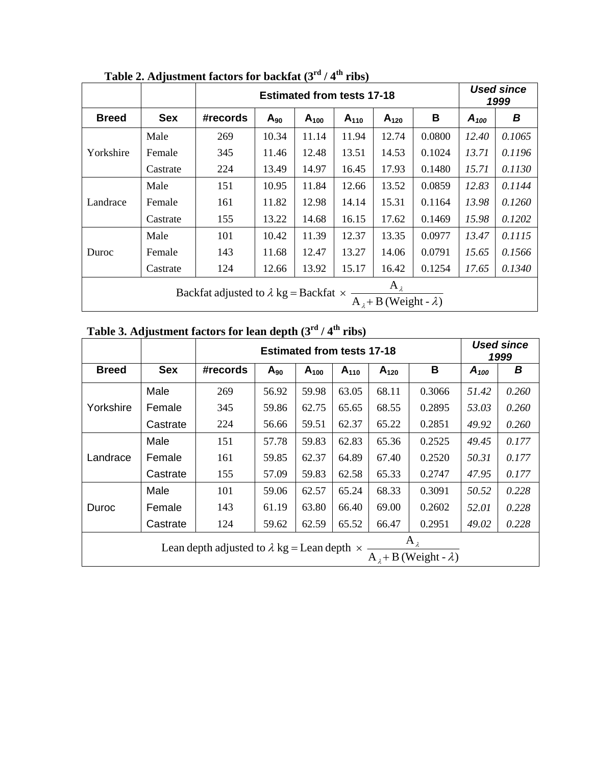|              |                                                                                                         |          | <b>Estimated from tests 17-18</b> |           |           |           |        |           | <b>Used since</b><br>1999 |  |
|--------------|---------------------------------------------------------------------------------------------------------|----------|-----------------------------------|-----------|-----------|-----------|--------|-----------|---------------------------|--|
| <b>Breed</b> | <b>Sex</b>                                                                                              | #records | $A_{90}$                          | $A_{100}$ | $A_{110}$ | $A_{120}$ | В      | $A_{100}$ | В                         |  |
| Yorkshire    | Male                                                                                                    | 269      | 10.34                             | 11.14     | 11.94     | 12.74     | 0.0800 | 12.40     | 0.1065                    |  |
|              | Female                                                                                                  | 345      | 11.46                             | 12.48     | 13.51     | 14.53     | 0.1024 | 13.71     | 0.1196                    |  |
|              | Castrate                                                                                                | 224      | 13.49                             | 14.97     | 16.45     | 17.93     | 0.1480 | 15.71     | 0.1130                    |  |
| Landrace     | Male                                                                                                    | 151      | 10.95                             | 11.84     | 12.66     | 13.52     | 0.0859 | 12.83     | 0.1144                    |  |
|              | Female                                                                                                  | 161      | 11.82                             | 12.98     | 14.14     | 15.31     | 0.1164 | 13.98     | 0.1260                    |  |
|              | Castrate                                                                                                | 155      | 13.22                             | 14.68     | 16.15     | 17.62     | 0.1469 | 15.98     | 0.1202                    |  |
|              | Male                                                                                                    | 101      | 10.42                             | 11.39     | 12.37     | 13.35     | 0.0977 | 13.47     | 0.1115                    |  |
| Duroc        | Female                                                                                                  | 143      | 11.68                             | 12.47     | 13.27     | 14.06     | 0.0791 | 15.65     | 0.1566                    |  |
|              | Castrate                                                                                                | 124      | 12.66                             | 13.92     | 15.17     | 16.42     | 0.1254 | 17.65     | 0.1340                    |  |
|              | $A_{\lambda}$<br>Backfat adjusted to $\lambda$ kg = Backfat $\times$<br>$A_1 + B$ (Weight - $\lambda$ ) |          |                                   |           |           |           |        |           |                           |  |

Table 2. Adjustment factors for backfat (3<sup>rd</sup> / 4<sup>th</sup> ribs)

| Table 3. Adjustment factors for lean depth $(3^{rd}/4^{th}$ ribs) |  |  |  |  |
|-------------------------------------------------------------------|--|--|--|--|
|-------------------------------------------------------------------|--|--|--|--|

|              |                                                                                                               |          | <b>Estimated from tests 17-18</b> |           |           |           |        |           | <b>Used since</b><br>1999 |  |
|--------------|---------------------------------------------------------------------------------------------------------------|----------|-----------------------------------|-----------|-----------|-----------|--------|-----------|---------------------------|--|
| <b>Breed</b> | <b>Sex</b>                                                                                                    | #records | $A_{90}$                          | $A_{100}$ | $A_{110}$ | $A_{120}$ | B      | $A_{100}$ | В                         |  |
| Yorkshire    | Male                                                                                                          | 269      | 56.92                             | 59.98     | 63.05     | 68.11     | 0.3066 | 51.42     | 0.260                     |  |
|              | Female                                                                                                        | 345      | 59.86                             | 62.75     | 65.65     | 68.55     | 0.2895 | 53.03     | 0.260                     |  |
|              | Castrate                                                                                                      | 224      | 56.66                             | 59.51     | 62.37     | 65.22     | 0.2851 | 49.92     | 0.260                     |  |
| Landrace     | Male                                                                                                          | 151      | 57.78                             | 59.83     | 62.83     | 65.36     | 0.2525 | 49.45     | 0.177                     |  |
|              | Female                                                                                                        | 161      | 59.85                             | 62.37     | 64.89     | 67.40     | 0.2520 | 50.31     | 0.177                     |  |
|              | Castrate                                                                                                      | 155      | 57.09                             | 59.83     | 62.58     | 65.33     | 0.2747 | 47.95     | 0.177                     |  |
|              | Male                                                                                                          | 101      | 59.06                             | 62.57     | 65.24     | 68.33     | 0.3091 | 50.52     | 0.228                     |  |
| Duroc        | Female                                                                                                        | 143      | 61.19                             | 63.80     | 66.40     | 69.00     | 0.2602 | 52.01     | 0.228                     |  |
|              | Castrate                                                                                                      | 124      | 59.62                             | 62.59     | 65.52     | 66.47     | 0.2951 | 49.02     | 0.228                     |  |
|              | $A_{\lambda}$<br>Lean depth adjusted to $\lambda$ kg = Lean depth $\times$<br>$A_1 + B$ (Weight - $\lambda$ ) |          |                                   |           |           |           |        |           |                           |  |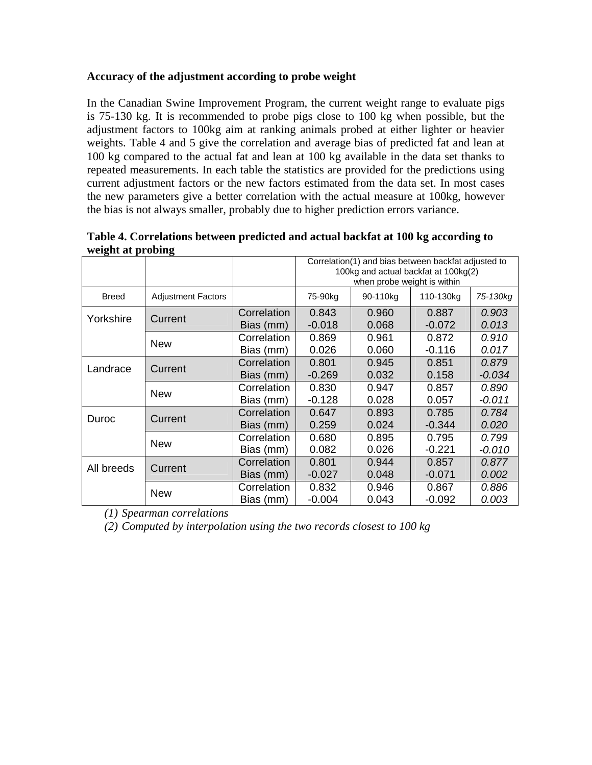### **Accuracy of the adjustment according to probe weight**

In the Canadian Swine Improvement Program, the current weight range to evaluate pigs is 75-130 kg. It is recommended to probe pigs close to 100 kg when possible, but the adjustment factors to 100kg aim at ranking animals probed at either lighter or heavier weights. Table 4 and 5 give the correlation and average bias of predicted fat and lean at 100 kg compared to the actual fat and lean at 100 kg available in the data set thanks to repeated measurements. In each table the statistics are provided for the predictions using current adjustment factors or the new factors estimated from the data set. In most cases the new parameters give a better correlation with the actual measure at 100kg, however the bias is not always smaller, probably due to higher prediction errors variance.

| o.           | o.                        |                          | Correlation(1) and bias between backfat adjusted to<br>100kg and actual backfat at 100kg(2)<br>when probe weight is within |                |                   |                   |  |
|--------------|---------------------------|--------------------------|----------------------------------------------------------------------------------------------------------------------------|----------------|-------------------|-------------------|--|
| <b>Breed</b> | <b>Adjustment Factors</b> |                          | 75-90kg                                                                                                                    | 90-110kg       | 110-130kg         | 75-130kg          |  |
| Yorkshire    | Current                   | Correlation<br>Bias (mm) | 0.843<br>$-0.018$                                                                                                          | 0.960<br>0.068 | 0.887<br>$-0.072$ | 0.903<br>0.013    |  |
|              | <b>New</b>                | Correlation<br>Bias (mm) | 0.869<br>0.026                                                                                                             | 0.961<br>0.060 | 0.872<br>$-0.116$ | 0.910<br>0.017    |  |
| Landrace     | Current                   | Correlation<br>Bias (mm) | 0.801<br>$-0.269$                                                                                                          | 0.945<br>0.032 | 0.851<br>0.158    | 0.879<br>$-0.034$ |  |
|              | <b>New</b>                | Correlation<br>Bias (mm) | 0.830<br>$-0.128$                                                                                                          | 0.947<br>0.028 | 0.857<br>0.057    | 0.890<br>$-0.011$ |  |
| Duroc        | Current                   | Correlation<br>Bias (mm) | 0.647<br>0.259                                                                                                             | 0.893<br>0.024 | 0.785<br>$-0.344$ | 0.784<br>0.020    |  |
|              | <b>New</b>                | Correlation<br>Bias (mm) | 0.680<br>0.082                                                                                                             | 0.895<br>0.026 | 0.795<br>$-0.221$ | 0.799<br>$-0.010$ |  |
| All breeds   | Current                   | Correlation<br>Bias (mm) | 0.801<br>$-0.027$                                                                                                          | 0.944<br>0.048 | 0.857<br>$-0.071$ | 0.877<br>0.002    |  |
|              | <b>New</b>                | Correlation<br>Bias (mm) | 0.832<br>$-0.004$                                                                                                          | 0.946<br>0.043 | 0.867<br>-0.092   | 0.886<br>0.003    |  |

**Table 4. Correlations between predicted and actual backfat at 100 kg according to weight at probing** 

*(1) Spearman correlations* 

*(2) Computed by interpolation using the two records closest to 100 kg*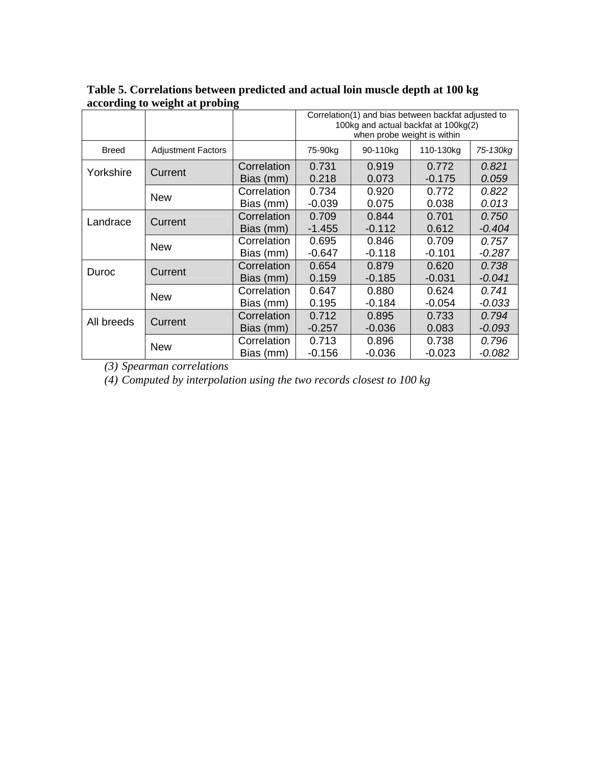|              |                           |                          | Correlation(1) and bias between backfat adjusted to<br>100kg and actual backfat at 100kg(2)<br>when probe weight is within |                   |                   |                   |  |
|--------------|---------------------------|--------------------------|----------------------------------------------------------------------------------------------------------------------------|-------------------|-------------------|-------------------|--|
| <b>Breed</b> | <b>Adjustment Factors</b> |                          | 75-90kg                                                                                                                    | 90-110kg          | 110-130kg         | 75-130kg          |  |
| Yorkshire    | Current                   | Correlation<br>Bias (mm) | 0.731<br>0.218                                                                                                             | 0.919<br>0.073    | 0.772<br>$-0.175$ | 0.821<br>0.059    |  |
|              | <b>New</b>                | Correlation<br>Bias (mm) | 0.734<br>$-0.039$                                                                                                          | 0.920<br>0.075    | 0.772<br>0.038    | 0.822<br>0.013    |  |
| Landrace     | Current                   | Correlation<br>Bias (mm) | 0.709<br>$-1.455$                                                                                                          | 0.844<br>$-0.112$ | 0.701<br>0.612    | 0.750<br>$-0.404$ |  |
|              | <b>New</b>                | Correlation<br>Bias (mm) | 0.695<br>$-0.647$                                                                                                          | 0.846<br>$-0.118$ | 0.709<br>$-0.101$ | 0.757<br>$-0.287$ |  |
| Duroc        | Current                   | Correlation<br>Bias (mm) | 0.654<br>0.159                                                                                                             | 0.879<br>$-0.185$ | 0.620<br>$-0.031$ | 0.738<br>$-0.041$ |  |
|              | <b>New</b>                | Correlation<br>Bias (mm) | 0.647<br>0.195                                                                                                             | 0.880<br>$-0.184$ | 0.624<br>$-0.054$ | 0.741<br>$-0.033$ |  |
| All breeds   | Current                   | Correlation<br>Bias (mm) | 0.712<br>$-0.257$                                                                                                          | 0.895<br>$-0.036$ | 0.733<br>0.083    | 0.794<br>$-0.093$ |  |
|              | <b>New</b>                | Correlation<br>Bias (mm) | 0.713<br>-0.156                                                                                                            | 0.896<br>$-0.036$ | 0.738<br>$-0.023$ | 0.796<br>-0.082   |  |

**Table 5. Correlations between predicted and actual loin muscle depth at 100 kg according to weight at probing** 

*(3) Spearman correlations* 

*(4) Computed by interpolation using the two records closest to 100 kg*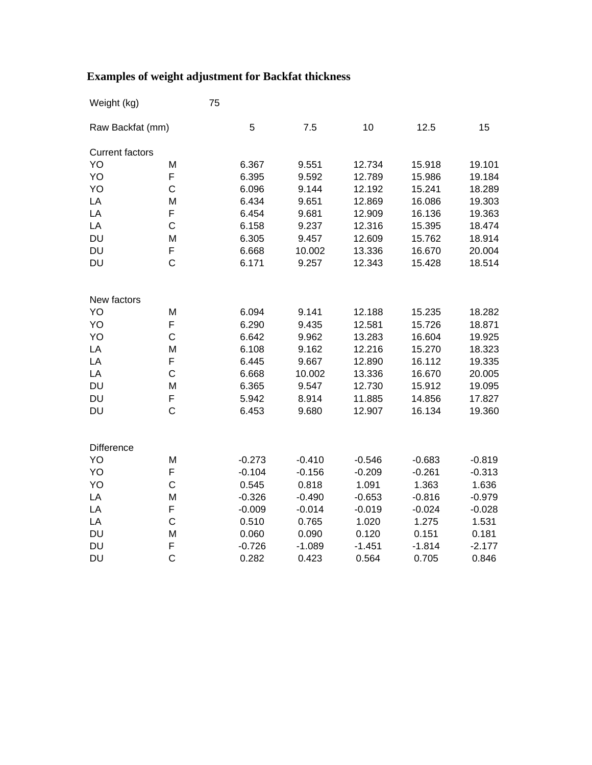| Weight (kg)            |                | 75 |          |          |          |          |          |
|------------------------|----------------|----|----------|----------|----------|----------|----------|
| Raw Backfat (mm)       |                |    | 5        | 7.5      | 10       | 12.5     | 15       |
| <b>Current factors</b> |                |    |          |          |          |          |          |
| YO                     | M              |    | 6.367    | 9.551    | 12.734   | 15.918   | 19.101   |
| YO                     | F              |    | 6.395    | 9.592    | 12.789   | 15.986   | 19.184   |
| YO                     | $\mathsf{C}$   |    | 6.096    | 9.144    | 12.192   | 15.241   | 18.289   |
| LA                     | M              |    | 6.434    | 9.651    | 12.869   | 16.086   | 19.303   |
| LA                     | F              |    | 6.454    | 9.681    | 12.909   | 16.136   | 19.363   |
| LA                     | $\mathsf{C}$   |    | 6.158    | 9.237    | 12.316   | 15.395   | 18.474   |
| <b>DU</b>              | M              |    | 6.305    | 9.457    | 12.609   | 15.762   | 18.914   |
| <b>DU</b>              | F              |    | 6.668    | 10.002   | 13.336   | 16.670   | 20.004   |
| <b>DU</b>              | $\mathsf{C}$   |    | 6.171    | 9.257    | 12.343   | 15.428   | 18.514   |
|                        |                |    |          |          |          |          |          |
| New factors            |                |    |          |          |          |          |          |
| YO                     | M              |    | 6.094    | 9.141    | 12.188   | 15.235   | 18.282   |
| YO                     | F              |    | 6.290    | 9.435    | 12.581   | 15.726   | 18.871   |
| YO                     | C              |    | 6.642    | 9.962    | 13.283   | 16.604   | 19.925   |
| LA                     | M              |    | 6.108    | 9.162    | 12.216   | 15.270   | 18.323   |
| LA                     | F              |    | 6.445    | 9.667    | 12.890   | 16.112   | 19.335   |
| LA                     | $\mathsf{C}$   |    | 6.668    | 10.002   | 13.336   | 16.670   | 20.005   |
| <b>DU</b>              | M              |    | 6.365    | 9.547    | 12.730   | 15.912   | 19.095   |
| <b>DU</b>              | F              |    | 5.942    | 8.914    | 11.885   | 14.856   | 17.827   |
| <b>DU</b>              | $\mathsf{C}$   |    | 6.453    | 9.680    | 12.907   | 16.134   | 19.360   |
|                        |                |    |          |          |          |          |          |
| <b>Difference</b>      |                |    |          |          |          |          |          |
| YO                     | M              |    | $-0.273$ | $-0.410$ | $-0.546$ | $-0.683$ | $-0.819$ |
| YO                     | F              |    | $-0.104$ | $-0.156$ | $-0.209$ | $-0.261$ | $-0.313$ |
| YO                     | $\mathsf{C}$   |    | 0.545    | 0.818    | 1.091    | 1.363    | 1.636    |
| LA                     | M              |    | $-0.326$ | $-0.490$ | $-0.653$ | $-0.816$ | $-0.979$ |
| LA                     | F              |    | $-0.009$ | $-0.014$ | $-0.019$ | $-0.024$ | $-0.028$ |
| LA                     | $\mathsf{C}$   |    | 0.510    | 0.765    | 1.020    | 1.275    | 1.531    |
| <b>DU</b>              | M              |    | 0.060    | 0.090    | 0.120    | 0.151    | 0.181    |
| <b>DU</b>              | F              |    | $-0.726$ | $-1.089$ | $-1.451$ | $-1.814$ | $-2.177$ |
| <b>DU</b>              | $\overline{C}$ |    | 0.282    | 0.423    | 0.564    | 0.705    | 0.846    |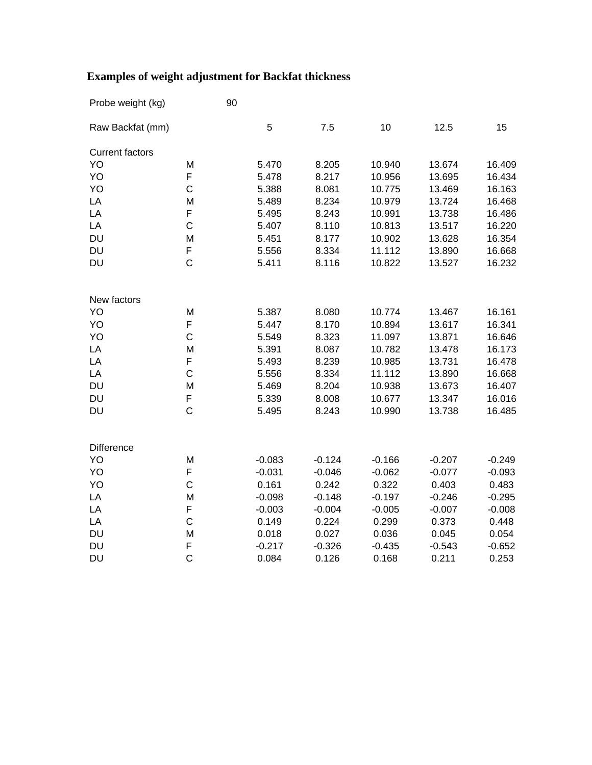| Probe weight (kg)      |                | 90       |          |          |          |          |
|------------------------|----------------|----------|----------|----------|----------|----------|
| Raw Backfat (mm)       |                | 5        | 7.5      | 10       | 12.5     | 15       |
| <b>Current factors</b> |                |          |          |          |          |          |
| YO                     | M              | 5.470    | 8.205    | 10.940   | 13.674   | 16.409   |
| YO                     | F              | 5.478    | 8.217    | 10.956   | 13.695   | 16.434   |
| YO                     | $\mathsf{C}$   | 5.388    | 8.081    | 10.775   | 13.469   | 16.163   |
| LA                     | M              | 5.489    | 8.234    | 10.979   | 13.724   | 16.468   |
| LA                     | F              | 5.495    | 8.243    | 10.991   | 13.738   | 16.486   |
| LA                     | $\mathsf{C}$   | 5.407    | 8.110    | 10.813   | 13.517   | 16.220   |
| <b>DU</b>              | M              | 5.451    | 8.177    | 10.902   | 13.628   | 16.354   |
| <b>DU</b>              | F              | 5.556    | 8.334    | 11.112   | 13.890   | 16.668   |
| <b>DU</b>              | $\overline{C}$ | 5.411    | 8.116    | 10.822   | 13.527   | 16.232   |
| New factors            |                |          |          |          |          |          |
| YO                     | M              | 5.387    | 8.080    | 10.774   | 13.467   | 16.161   |
| YO                     | F              | 5.447    | 8.170    | 10.894   | 13.617   | 16.341   |
| YO                     | $\mathsf{C}$   | 5.549    | 8.323    | 11.097   | 13.871   | 16.646   |
| LA                     | M              | 5.391    | 8.087    | 10.782   | 13.478   | 16.173   |
| LA                     | F              | 5.493    | 8.239    | 10.985   | 13.731   | 16.478   |
| LA                     | $\mathsf{C}$   | 5.556    | 8.334    | 11.112   | 13.890   | 16.668   |
| <b>DU</b>              | M              | 5.469    | 8.204    | 10.938   | 13.673   | 16.407   |
| <b>DU</b>              | F              | 5.339    | 8.008    | 10.677   | 13.347   | 16.016   |
| <b>DU</b>              | $\overline{C}$ | 5.495    | 8.243    | 10.990   | 13.738   | 16.485   |
| Difference             |                |          |          |          |          |          |
| YO                     | M              | $-0.083$ | $-0.124$ | $-0.166$ | $-0.207$ | $-0.249$ |
| YO                     | F              | $-0.031$ | $-0.046$ | $-0.062$ | $-0.077$ | $-0.093$ |
| YO                     | $\mathsf C$    | 0.161    | 0.242    | 0.322    | 0.403    | 0.483    |
| LA                     | M              | $-0.098$ | $-0.148$ | $-0.197$ | $-0.246$ | $-0.295$ |
| LA                     | F              | $-0.003$ | $-0.004$ | $-0.005$ | $-0.007$ | $-0.008$ |
| LA                     | $\mathsf{C}$   | 0.149    | 0.224    | 0.299    | 0.373    | 0.448    |
| <b>DU</b>              | M              | 0.018    | 0.027    | 0.036    | 0.045    | 0.054    |
| <b>DU</b>              | F              | $-0.217$ | $-0.326$ | $-0.435$ | $-0.543$ | $-0.652$ |
| <b>DU</b>              | $\overline{C}$ | 0.084    | 0.126    | 0.168    | 0.211    | 0.253    |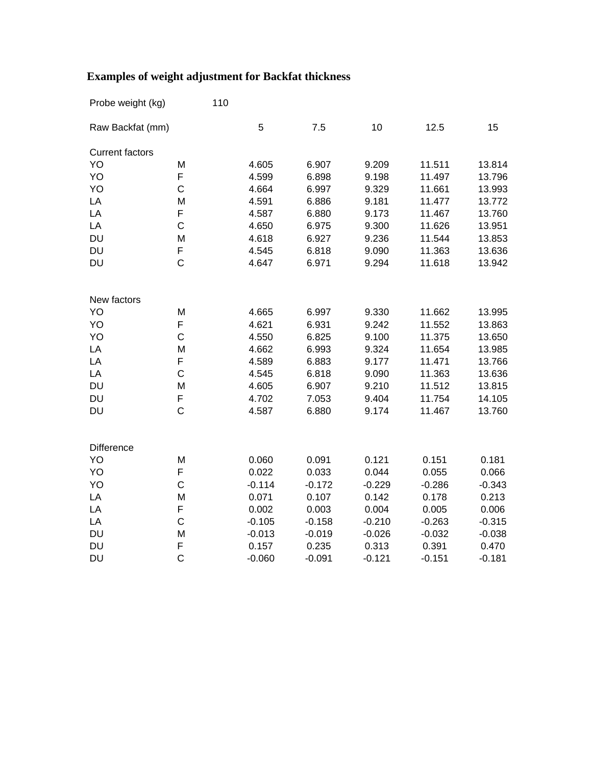| Probe weight (kg)       |                | 110      |          |          |          |          |
|-------------------------|----------------|----------|----------|----------|----------|----------|
| Raw Backfat (mm)        |                | 5        | 7.5      | 10       | 12.5     | 15       |
| <b>Current factors</b>  |                |          |          |          |          |          |
| YO                      | M              | 4.605    | 6.907    | 9.209    | 11.511   | 13.814   |
| YO                      | F              | 4.599    | 6.898    | 9.198    | 11.497   | 13.796   |
| YO                      | C              | 4.664    | 6.997    | 9.329    | 11.661   | 13.993   |
| LA                      | M              | 4.591    | 6.886    | 9.181    | 11.477   | 13.772   |
| LA                      | F              | 4.587    | 6.880    | 9.173    | 11.467   | 13.760   |
| LA                      | $\mathsf C$    | 4.650    | 6.975    | 9.300    | 11.626   | 13.951   |
| <b>DU</b>               | M              | 4.618    | 6.927    | 9.236    | 11.544   | 13.853   |
| <b>DU</b>               | F              | 4.545    | 6.818    | 9.090    | 11.363   | 13.636   |
| <b>DU</b>               | $\mathsf C$    | 4.647    | 6.971    | 9.294    | 11.618   | 13.942   |
| New factors             |                |          |          |          |          |          |
| YO                      | M              | 4.665    | 6.997    | 9.330    | 11.662   | 13.995   |
| YO                      | F              | 4.621    | 6.931    | 9.242    | 11.552   | 13.863   |
| YO                      | C              | 4.550    | 6.825    | 9.100    | 11.375   | 13.650   |
| LA                      | M              | 4.662    | 6.993    | 9.324    | 11.654   | 13.985   |
| LA                      | F              | 4.589    | 6.883    | 9.177    | 11.471   | 13.766   |
| LA                      | $\mathsf C$    | 4.545    | 6.818    | 9.090    | 11.363   | 13.636   |
| <b>DU</b>               | M              | 4.605    | 6.907    | 9.210    | 11.512   | 13.815   |
| <b>DU</b>               | F              | 4.702    | 7.053    | 9.404    | 11.754   | 14.105   |
| <b>DU</b>               | $\mathsf C$    | 4.587    | 6.880    | 9.174    | 11.467   | 13.760   |
|                         |                |          |          |          |          |          |
| <b>Difference</b><br>YO | M              | 0.060    | 0.091    | 0.121    | 0.151    | 0.181    |
| YO                      | F              | 0.022    | 0.033    | 0.044    | 0.055    | 0.066    |
| YO                      | $\mathsf C$    | $-0.114$ | $-0.172$ | $-0.229$ | $-0.286$ | $-0.343$ |
| LA                      | M              | 0.071    | 0.107    | 0.142    | 0.178    | 0.213    |
| LA                      | F              | 0.002    | 0.003    | 0.004    | 0.005    | 0.006    |
| LA                      | $\mathsf C$    | $-0.105$ | $-0.158$ | $-0.210$ | $-0.263$ | $-0.315$ |
| <b>DU</b>               | M              | $-0.013$ | $-0.019$ | $-0.026$ | $-0.032$ | $-0.038$ |
| <b>DU</b>               | F              | 0.157    | 0.235    | 0.313    | 0.391    | 0.470    |
| <b>DU</b>               | $\overline{C}$ | $-0.060$ | $-0.091$ | $-0.121$ | $-0.151$ | $-0.181$ |
|                         |                |          |          |          |          |          |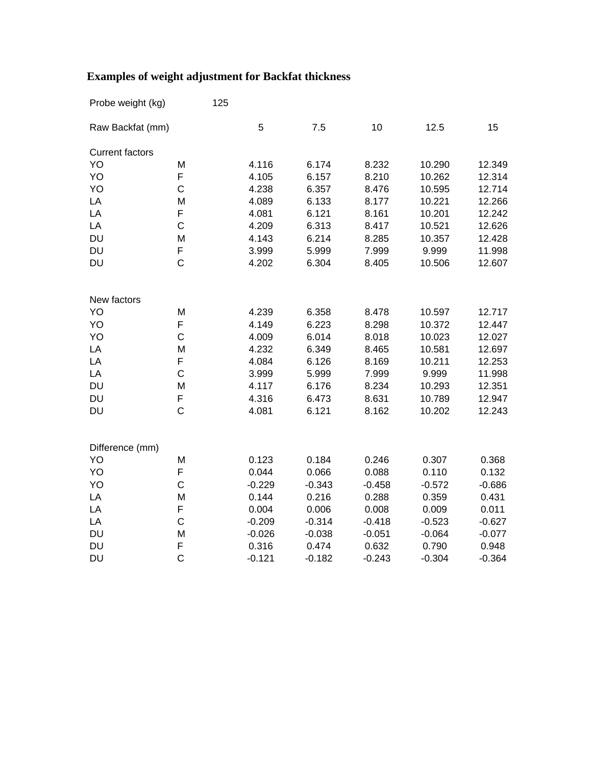| Probe weight (kg)      |                | 125      |          |          |          |          |
|------------------------|----------------|----------|----------|----------|----------|----------|
| Raw Backfat (mm)       |                | 5        | 7.5      | 10       | 12.5     | 15       |
| <b>Current factors</b> |                |          |          |          |          |          |
| YO                     | M              | 4.116    | 6.174    | 8.232    | 10.290   | 12.349   |
| YO                     | F              | 4.105    | 6.157    | 8.210    | 10.262   | 12.314   |
| YO                     | C              | 4.238    | 6.357    | 8.476    | 10.595   | 12.714   |
| LA                     | M              | 4.089    | 6.133    | 8.177    | 10.221   | 12.266   |
| LA                     | F              | 4.081    | 6.121    | 8.161    | 10.201   | 12.242   |
| LA                     | $\mathsf{C}$   | 4.209    | 6.313    | 8.417    | 10.521   | 12.626   |
| <b>DU</b>              | M              | 4.143    | 6.214    | 8.285    | 10.357   | 12.428   |
| <b>DU</b>              | F              | 3.999    | 5.999    | 7.999    | 9.999    | 11.998   |
| DU                     | C              | 4.202    | 6.304    | 8.405    | 10.506   | 12.607   |
| New factors            |                |          |          |          |          |          |
| YO                     | M              | 4.239    | 6.358    | 8.478    | 10.597   | 12.717   |
| YO                     | F              | 4.149    | 6.223    | 8.298    | 10.372   | 12.447   |
| YO                     | C              | 4.009    | 6.014    | 8.018    | 10.023   | 12.027   |
| LA                     | M              | 4.232    | 6.349    | 8.465    | 10.581   | 12.697   |
| LA                     | F              | 4.084    | 6.126    | 8.169    | 10.211   | 12.253   |
| LA                     | C              | 3.999    | 5.999    | 7.999    | 9.999    | 11.998   |
| <b>DU</b>              | M              | 4.117    | 6.176    | 8.234    | 10.293   | 12.351   |
| <b>DU</b>              | F              | 4.316    | 6.473    | 8.631    | 10.789   | 12.947   |
| <b>DU</b>              | $\mathsf C$    | 4.081    | 6.121    | 8.162    | 10.202   | 12.243   |
| Difference (mm)        |                |          |          |          |          |          |
| YO                     | M              | 0.123    | 0.184    | 0.246    | 0.307    | 0.368    |
| YO                     | F              | 0.044    | 0.066    | 0.088    | 0.110    | 0.132    |
| YO                     | C              | $-0.229$ | $-0.343$ | $-0.458$ | $-0.572$ | $-0.686$ |
| LA                     | M              | 0.144    | 0.216    | 0.288    | 0.359    | 0.431    |
| LA                     | F              | 0.004    | 0.006    | 0.008    | 0.009    | 0.011    |
| LA                     | $\mathsf C$    | $-0.209$ | $-0.314$ | $-0.418$ | $-0.523$ | $-0.627$ |
| <b>DU</b>              | M              | $-0.026$ | $-0.038$ | $-0.051$ | $-0.064$ | $-0.077$ |
| <b>DU</b>              | F              | 0.316    | 0.474    | 0.632    | 0.790    | 0.948    |
| <b>DU</b>              | $\overline{C}$ | $-0.121$ | $-0.182$ | $-0.243$ | $-0.304$ | $-0.364$ |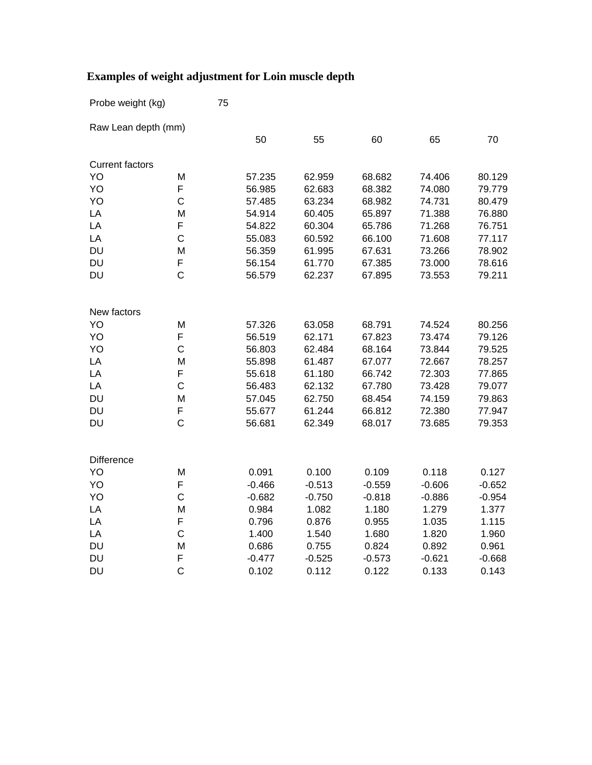Probe weight (kg) 75

| Raw Lean depth (mm)    |              |          |          |          |          |          |
|------------------------|--------------|----------|----------|----------|----------|----------|
|                        |              | 50       | 55       | 60       | 65       | 70       |
| <b>Current factors</b> |              |          |          |          |          |          |
| YO                     | M            | 57.235   | 62.959   | 68.682   | 74.406   | 80.129   |
| YO                     | F            | 56.985   | 62.683   | 68.382   | 74.080   | 79.779   |
| YO                     | C            | 57.485   | 63.234   | 68.982   | 74.731   | 80.479   |
| LA                     | M            | 54.914   | 60.405   | 65.897   | 71.388   | 76.880   |
| LA                     | F            | 54.822   | 60.304   | 65.786   | 71.268   | 76.751   |
| LA                     | C            | 55.083   | 60.592   | 66.100   | 71.608   | 77.117   |
| <b>DU</b>              | M            | 56.359   | 61.995   | 67.631   | 73.266   | 78.902   |
| <b>DU</b>              | F            | 56.154   | 61.770   | 67.385   | 73.000   | 78.616   |
| <b>DU</b>              | $\mathsf{C}$ | 56.579   | 62.237   | 67.895   | 73.553   | 79.211   |
| New factors            |              |          |          |          |          |          |
| YO                     | M            | 57.326   | 63.058   | 68.791   | 74.524   | 80.256   |
| YO                     | F            | 56.519   | 62.171   | 67.823   | 73.474   | 79.126   |
| YO                     | C            | 56.803   | 62.484   | 68.164   | 73.844   | 79.525   |
| LA                     | M            | 55.898   | 61.487   | 67.077   | 72.667   | 78.257   |
| LA                     | F            | 55.618   | 61.180   | 66.742   | 72.303   | 77.865   |
| LA                     | C            | 56.483   | 62.132   | 67.780   | 73.428   | 79.077   |
| <b>DU</b>              | M            | 57.045   | 62.750   | 68.454   | 74.159   | 79.863   |
| DU                     | F            | 55.677   | 61.244   | 66.812   | 72.380   | 77.947   |
| <b>DU</b>              | C            | 56.681   | 62.349   | 68.017   | 73.685   | 79.353   |
| Difference             |              |          |          |          |          |          |
| YO                     | M            | 0.091    | 0.100    | 0.109    | 0.118    | 0.127    |
| YO                     | F            | $-0.466$ | $-0.513$ | $-0.559$ | $-0.606$ | $-0.652$ |
| YO                     | C            | $-0.682$ | $-0.750$ | $-0.818$ | $-0.886$ | $-0.954$ |
| LA                     | M            | 0.984    | 1.082    | 1.180    | 1.279    | 1.377    |
| LA                     | F            | 0.796    | 0.876    | 0.955    | 1.035    | 1.115    |
| LA                     | $\mathsf C$  | 1.400    | 1.540    | 1.680    | 1.820    | 1.960    |
| <b>DU</b>              | M            | 0.686    | 0.755    | 0.824    | 0.892    | 0.961    |
| <b>DU</b>              | F            | $-0.477$ | $-0.525$ | $-0.573$ | $-0.621$ | $-0.668$ |
| <b>DU</b>              | C            | 0.102    | 0.112    | 0.122    | 0.133    | 0.143    |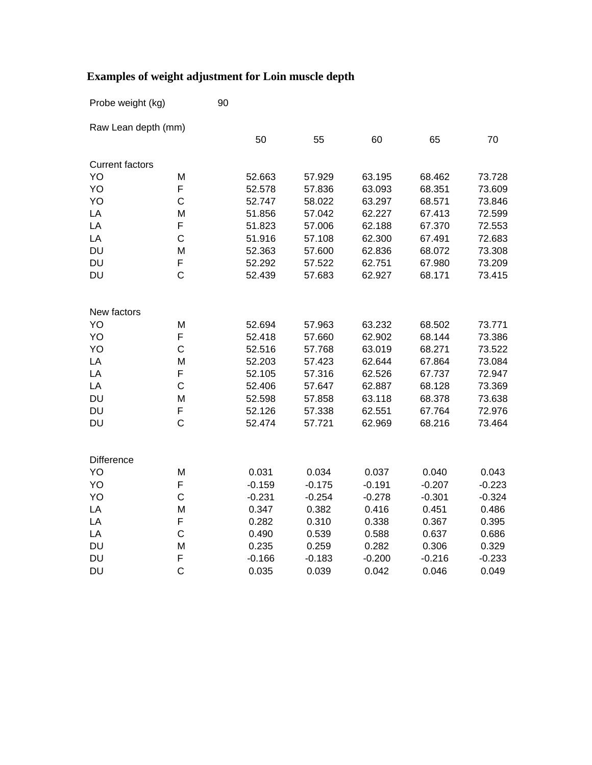| Probe weight (kg)      |                | 90 |          |          |          |          |          |
|------------------------|----------------|----|----------|----------|----------|----------|----------|
| Raw Lean depth (mm)    |                |    |          |          |          |          |          |
|                        |                |    | 50       | 55       | 60       | 65       | 70       |
| <b>Current factors</b> |                |    |          |          |          |          |          |
| YO                     | M              |    | 52.663   | 57.929   | 63.195   | 68.462   | 73.728   |
| YO                     | F              |    | 52.578   | 57.836   | 63.093   | 68.351   | 73.609   |
| YO                     | C              |    | 52.747   | 58.022   | 63.297   | 68.571   | 73.846   |
| LA                     | M              |    | 51.856   | 57.042   | 62.227   | 67.413   | 72.599   |
| LA                     | F              |    | 51.823   | 57.006   | 62.188   | 67.370   | 72.553   |
| LA                     | C              |    | 51.916   | 57.108   | 62.300   | 67.491   | 72.683   |
| <b>DU</b>              | M              |    | 52.363   | 57.600   | 62.836   | 68.072   | 73.308   |
| <b>DU</b>              | F              |    | 52.292   | 57.522   | 62.751   | 67.980   | 73.209   |
| <b>DU</b>              | $\overline{C}$ |    | 52.439   | 57.683   | 62.927   | 68.171   | 73.415   |
| New factors            |                |    |          |          |          |          |          |
| YO                     | M              |    | 52.694   | 57.963   | 63.232   | 68.502   | 73.771   |
| YO                     | F              |    | 52.418   | 57.660   | 62.902   | 68.144   | 73.386   |
| YO                     | $\overline{C}$ |    | 52.516   | 57.768   | 63.019   | 68.271   | 73.522   |
| LA                     | M              |    | 52.203   | 57.423   | 62.644   | 67.864   | 73.084   |
| LA                     | F              |    | 52.105   | 57.316   | 62.526   | 67.737   | 72.947   |
| LA                     | C              |    | 52.406   | 57.647   | 62.887   | 68.128   | 73.369   |
| <b>DU</b>              | M              |    | 52.598   | 57.858   | 63.118   | 68.378   | 73.638   |
| DU                     | F              |    | 52.126   | 57.338   | 62.551   | 67.764   | 72.976   |
| <b>DU</b>              | $\overline{C}$ |    | 52.474   | 57.721   | 62.969   | 68.216   | 73.464   |
| <b>Difference</b>      |                |    |          |          |          |          |          |
| YO                     | M              |    | 0.031    | 0.034    | 0.037    | 0.040    | 0.043    |
| YO                     | F              |    | $-0.159$ | $-0.175$ | $-0.191$ | $-0.207$ | $-0.223$ |
| YO                     | C              |    | $-0.231$ | $-0.254$ | $-0.278$ | $-0.301$ | $-0.324$ |
| LA                     | M              |    | 0.347    | 0.382    | 0.416    | 0.451    | 0.486    |
| LA                     | F              |    | 0.282    | 0.310    | 0.338    | 0.367    | 0.395    |
| LA                     | C              |    | 0.490    | 0.539    | 0.588    | 0.637    | 0.686    |
| <b>DU</b>              | M              |    | 0.235    | 0.259    | 0.282    | 0.306    | 0.329    |
| <b>DU</b>              | F              |    | $-0.166$ | $-0.183$ | $-0.200$ | $-0.216$ | $-0.233$ |
| <b>DU</b>              | $\overline{C}$ |    | 0.035    | 0.039    | 0.042    | 0.046    | 0.049    |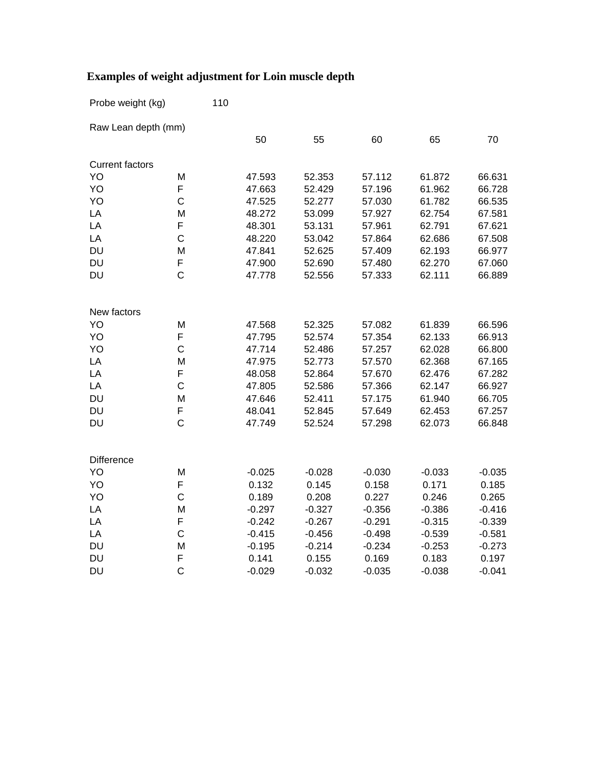| Probe weight (kg)      |              | 110 |          |          |          |          |          |
|------------------------|--------------|-----|----------|----------|----------|----------|----------|
| Raw Lean depth (mm)    |              |     |          |          |          |          |          |
|                        |              |     | 50       | 55       | 60       | 65       | 70       |
| <b>Current factors</b> |              |     |          |          |          |          |          |
| YO                     | M            |     | 47.593   | 52.353   | 57.112   | 61.872   | 66.631   |
| YO                     | F            |     | 47.663   | 52.429   | 57.196   | 61.962   | 66.728   |
| YO                     | C            |     | 47.525   | 52.277   | 57.030   | 61.782   | 66.535   |
| LA                     | M            |     | 48.272   | 53.099   | 57.927   | 62.754   | 67.581   |
| LA                     | F            |     | 48.301   | 53.131   | 57.961   | 62.791   | 67.621   |
| LA                     | $\mathsf C$  |     | 48.220   | 53.042   | 57.864   | 62.686   | 67.508   |
| <b>DU</b>              | M            |     | 47.841   | 52.625   | 57.409   | 62.193   | 66.977   |
| <b>DU</b>              | F            |     | 47.900   | 52.690   | 57.480   | 62.270   | 67.060   |
| <b>DU</b>              | $\mathsf{C}$ |     | 47.778   | 52.556   | 57.333   | 62.111   | 66.889   |
|                        |              |     |          |          |          |          |          |
| New factors            |              |     |          |          |          |          |          |
| YO                     | M            |     | 47.568   | 52.325   | 57.082   | 61.839   | 66.596   |
| YO                     | F            |     | 47.795   | 52.574   | 57.354   | 62.133   | 66.913   |
| YO                     | $\mathsf C$  |     | 47.714   | 52.486   | 57.257   | 62.028   | 66.800   |
| LA                     | M            |     | 47.975   | 52.773   | 57.570   | 62.368   | 67.165   |
| LA                     | F            |     | 48.058   | 52.864   | 57.670   | 62.476   | 67.282   |
| LA                     | $\mathsf{C}$ |     | 47.805   | 52.586   | 57.366   | 62.147   | 66.927   |
| <b>DU</b>              | M            |     | 47.646   | 52.411   | 57.175   | 61.940   | 66.705   |
| <b>DU</b>              | F            |     | 48.041   | 52.845   | 57.649   | 62.453   | 67.257   |
| <b>DU</b>              | C            |     | 47.749   | 52.524   | 57.298   | 62.073   | 66.848   |
|                        |              |     |          |          |          |          |          |
| <b>Difference</b>      |              |     |          |          |          |          |          |
| YO                     | M            |     | $-0.025$ | $-0.028$ | $-0.030$ | $-0.033$ | $-0.035$ |
| YO                     | F            |     | 0.132    | 0.145    | 0.158    | 0.171    | 0.185    |
| YO                     | $\mathsf{C}$ |     | 0.189    | 0.208    | 0.227    | 0.246    | 0.265    |
| LA                     | M            |     | $-0.297$ | $-0.327$ | $-0.356$ | $-0.386$ | $-0.416$ |
| LA                     | F            |     | $-0.242$ | $-0.267$ | $-0.291$ | $-0.315$ | $-0.339$ |
| LA                     | C            |     | $-0.415$ | $-0.456$ | $-0.498$ | $-0.539$ | $-0.581$ |
| <b>DU</b>              | M            |     | $-0.195$ | $-0.214$ | $-0.234$ | $-0.253$ | $-0.273$ |
| <b>DU</b>              | F            |     | 0.141    | 0.155    | 0.169    | 0.183    | 0.197    |
| <b>DU</b>              | $\mathsf{C}$ |     | $-0.029$ | $-0.032$ | $-0.035$ | $-0.038$ | $-0.041$ |